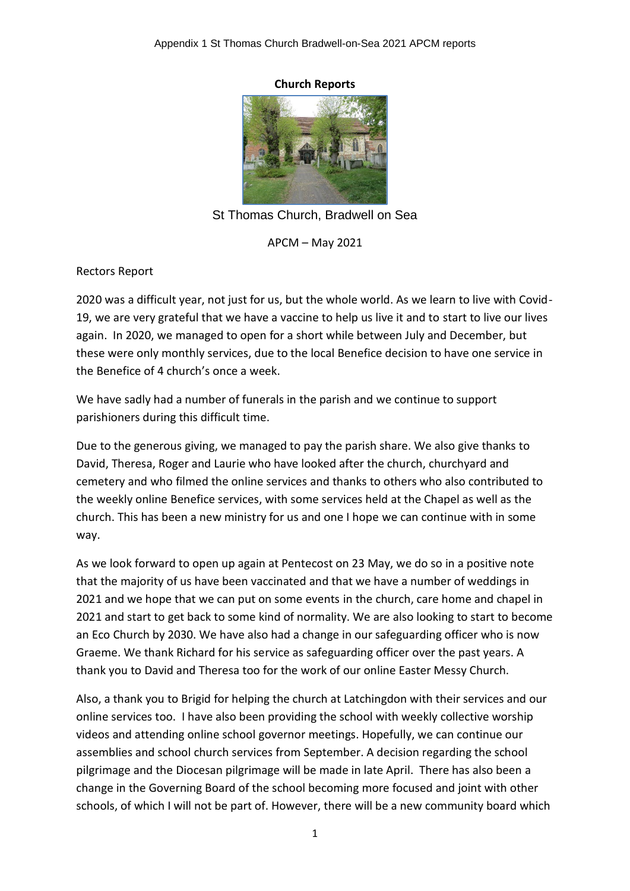### **Church Reports**



St Thomas Church, Bradwell on Sea

APCM – May 2021

Rectors Report

2020 was a difficult year, not just for us, but the whole world. As we learn to live with Covid-19, we are very grateful that we have a vaccine to help us live it and to start to live our lives again. In 2020, we managed to open for a short while between July and December, but these were only monthly services, due to the local Benefice decision to have one service in the Benefice of 4 church's once a week.

We have sadly had a number of funerals in the parish and we continue to support parishioners during this difficult time.

Due to the generous giving, we managed to pay the parish share. We also give thanks to David, Theresa, Roger and Laurie who have looked after the church, churchyard and cemetery and who filmed the online services and thanks to others who also contributed to the weekly online Benefice services, with some services held at the Chapel as well as the church. This has been a new ministry for us and one I hope we can continue with in some way.

As we look forward to open up again at Pentecost on 23 May, we do so in a positive note that the majority of us have been vaccinated and that we have a number of weddings in 2021 and we hope that we can put on some events in the church, care home and chapel in 2021 and start to get back to some kind of normality. We are also looking to start to become an Eco Church by 2030. We have also had a change in our safeguarding officer who is now Graeme. We thank Richard for his service as safeguarding officer over the past years. A thank you to David and Theresa too for the work of our online Easter Messy Church.

Also, a thank you to Brigid for helping the church at Latchingdon with their services and our online services too. I have also been providing the school with weekly collective worship videos and attending online school governor meetings. Hopefully, we can continue our assemblies and school church services from September. A decision regarding the school pilgrimage and the Diocesan pilgrimage will be made in late April. There has also been a change in the Governing Board of the school becoming more focused and joint with other schools, of which I will not be part of. However, there will be a new community board which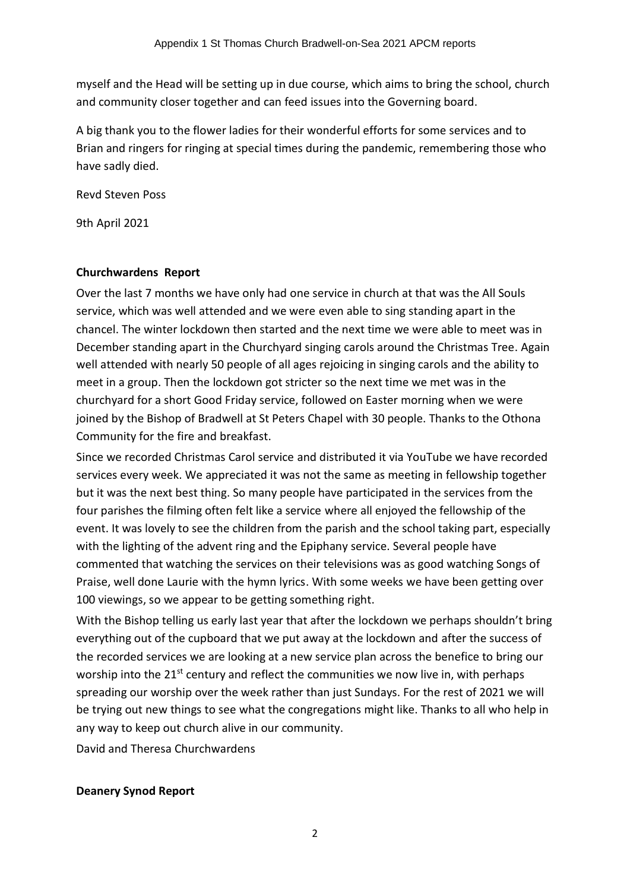myself and the Head will be setting up in due course, which aims to bring the school, church and community closer together and can feed issues into the Governing board.

A big thank you to the flower ladies for their wonderful efforts for some services and to Brian and ringers for ringing at special times during the pandemic, remembering those who have sadly died.

Revd Steven Poss

9th April 2021

# **Churchwardens Report**

Over the last 7 months we have only had one service in church at that was the All Souls service, which was well attended and we were even able to sing standing apart in the chancel. The winter lockdown then started and the next time we were able to meet was in December standing apart in the Churchyard singing carols around the Christmas Tree. Again well attended with nearly 50 people of all ages rejoicing in singing carols and the ability to meet in a group. Then the lockdown got stricter so the next time we met was in the churchyard for a short Good Friday service, followed on Easter morning when we were joined by the Bishop of Bradwell at St Peters Chapel with 30 people. Thanks to the Othona Community for the fire and breakfast.

Since we recorded Christmas Carol service and distributed it via YouTube we have recorded services every week. We appreciated it was not the same as meeting in fellowship together but it was the next best thing. So many people have participated in the services from the four parishes the filming often felt like a service where all enjoyed the fellowship of the event. It was lovely to see the children from the parish and the school taking part, especially with the lighting of the advent ring and the Epiphany service. Several people have commented that watching the services on their televisions was as good watching Songs of Praise, well done Laurie with the hymn lyrics. With some weeks we have been getting over 100 viewings, so we appear to be getting something right.

With the Bishop telling us early last year that after the lockdown we perhaps shouldn't bring everything out of the cupboard that we put away at the lockdown and after the success of the recorded services we are looking at a new service plan across the benefice to bring our worship into the 21<sup>st</sup> century and reflect the communities we now live in, with perhaps spreading our worship over the week rather than just Sundays. For the rest of 2021 we will be trying out new things to see what the congregations might like. Thanks to all who help in any way to keep out church alive in our community.

David and Theresa Churchwardens

# **Deanery Synod Report**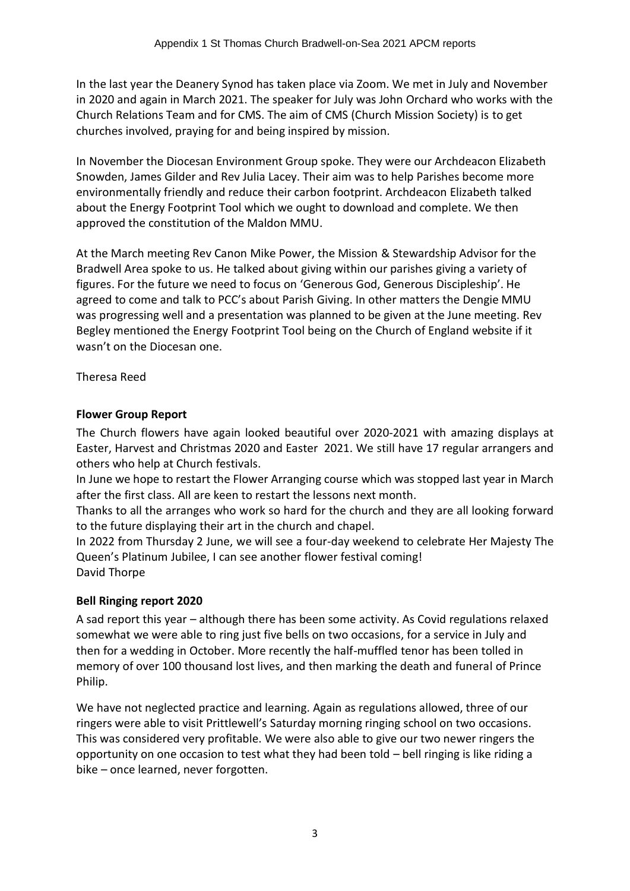In the last year the Deanery Synod has taken place via Zoom. We met in July and November in 2020 and again in March 2021. The speaker for July was John Orchard who works with the Church Relations Team and for CMS. The aim of CMS (Church Mission Society) is to get churches involved, praying for and being inspired by mission.

In November the Diocesan Environment Group spoke. They were our Archdeacon Elizabeth Snowden, James Gilder and Rev Julia Lacey. Their aim was to help Parishes become more environmentally friendly and reduce their carbon footprint. Archdeacon Elizabeth talked about the Energy Footprint Tool which we ought to download and complete. We then approved the constitution of the Maldon MMU.

At the March meeting Rev Canon Mike Power, the Mission & Stewardship Advisor for the Bradwell Area spoke to us. He talked about giving within our parishes giving a variety of figures. For the future we need to focus on 'Generous God, Generous Discipleship'. He agreed to come and talk to PCC's about Parish Giving. In other matters the Dengie MMU was progressing well and a presentation was planned to be given at the June meeting. Rev Begley mentioned the Energy Footprint Tool being on the Church of England website if it wasn't on the Diocesan one.

Theresa Reed

# **Flower Group Report**

The Church flowers have again looked beautiful over 2020-2021 with amazing displays at Easter, Harvest and Christmas 2020 and Easter 2021. We still have 17 regular arrangers and others who help at Church festivals.

In June we hope to restart the Flower Arranging course which was stopped last year in March after the first class. All are keen to restart the lessons next month.

Thanks to all the arranges who work so hard for the church and they are all looking forward to the future displaying their art in the church and chapel.

In 2022 from Thursday 2 June, we will see a four-day weekend to celebrate Her Majesty The Queen's Platinum Jubilee, I can see another flower festival coming! David Thorpe

# **Bell Ringing report 2020**

A sad report this year – although there has been some activity. As Covid regulations relaxed somewhat we were able to ring just five bells on two occasions, for a service in July and then for a wedding in October. More recently the half-muffled tenor has been tolled in memory of over 100 thousand lost lives, and then marking the death and funeral of Prince Philip.

We have not neglected practice and learning. Again as regulations allowed, three of our ringers were able to visit Prittlewell's Saturday morning ringing school on two occasions. This was considered very profitable. We were also able to give our two newer ringers the opportunity on one occasion to test what they had been told – bell ringing is like riding a bike – once learned, never forgotten.